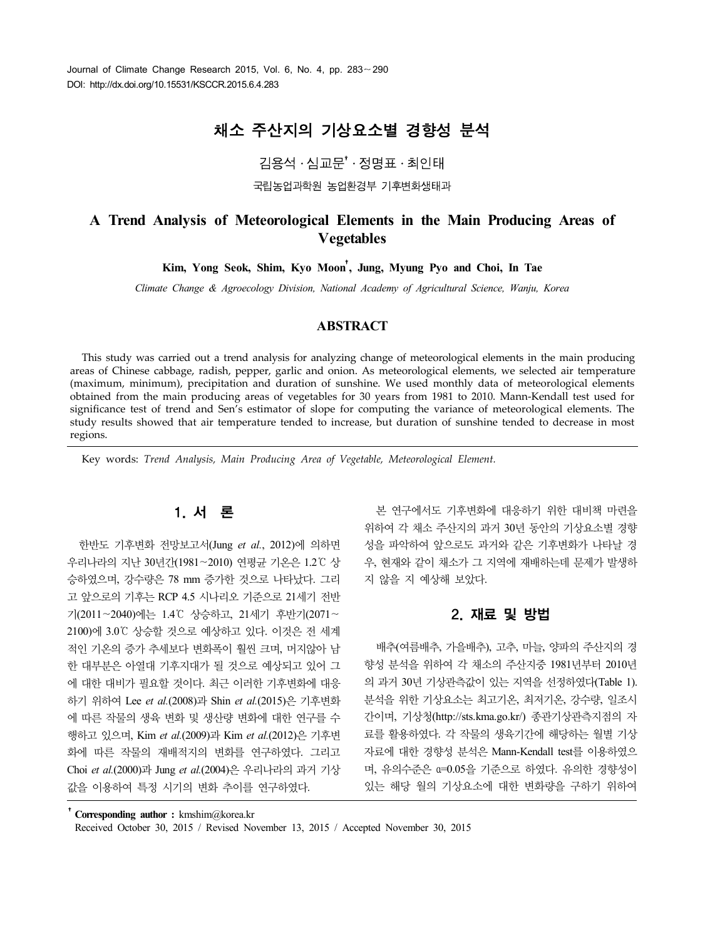# 채소 주산지의 기상요소별 경향성 분석

김용석․심교문†․정명표․최인태

국립농업과학원 농업환경부 기후변화생태과

# **A Trend Analysis of Meteorological Elements in the Main Producing Areas of Vegetables**

**Kim, Yong Seok, Shim, Kyo Moon**†**, Jung, Myung Pyo and Choi, In Tae**

*Climate Change & Agroecology Division, National Academy of Agricultural Science, Wanju, Korea*

### **ABSTRACT**

This study was carried out a trend analysis for analyzing change of meteorological elements in the main producing areas of Chinese cabbage, radish, pepper, garlic and onion. As meteorological elements, we selected air temperature (maximum, minimum), precipitation and duration of sunshine. We used monthly data of meteorological elements obtained from the main producing areas of vegetables for 30 years from 1981 to 2010. Mann-Kendall test used for significance test of trend and Sen's estimator of slope for computing the variance of meteorological elements. The study results showed that air temperature tended to increase, but duration of sunshine tended to decrease in most regions.

Key words: *Trend Analysis, Main Producing Area of Vegetable, Meteorological Element.*

# 1. 서 론

한반도 기후변화 전망보고서(Jung *et al.*, 2012)에 의하면 우리나라의 지난 30년간(1981∼2010) 연평균 기온은 1.2℃ 상 승하였으며, 강수량은 78 mm 증가한 것으로 나타났다. 그리 고 앞으로의 기후는 RCP 4.5 시나리오 기준으로 21세기 전반 기(2011∼2040)에는 1.4℃ 상승하고, 21세기 후반기(2071∼ 2100)에 3.0℃ 상승할 것으로 예상하고 있다. 이것은 전 세계 적인 기온의 증가 추세보다 변화폭이 훨씬 크며, 머지않아 남 한 대부분은 아열대 기후지대가 될 것으로 예상되고 있어 그 에 대한 대비가 필요할 것이다. 최근 이러한 기후변화에 대응 하기 위하여 Lee *et al.*(2008)과 Shin *et al.*(2015)은 기후변화 에 따른 작물의 생육 변화 및 생산량 변화에 대한 연구를 수 행하고 있으며, Kim *et al.*(2009)과 Kim *et al.*(2012)은 기후변 화에 따른 작물의 재배적지의 변화를 연구하였다. 그리고 Choi *et al.*(2000)과 Jung *et al.*(2004)은 우리나라의 과거 기상 값을 이용하여 특정 시기의 변화 추이를 연구하였다.

본 연구에서도 기후변화에 대응하기 위한 대비책 마련을 위하여 각 채소 주산지의 과거 30년 동안의 기상요소별 경향 성을 파악하여 앞으로도 과거와 같은 기후변화가 나타날 경 우, 현재와 같이 채소가 그 지역에 재배하는데 문제가 발생하 지 않을 지 예상해 보았다.

## 2. 재료 및 방법

배추(여름배추, 가을배추), 고추, 마늘, 양파의 주산지의 경 향성 분석을 위하여 각 채소의 주산지중 1981년부터 2010년 의 과거 30년 기상관측값이 있는 지역을 선정하였다(Table 1). 분석을 위한 기상요소는 최고기온, 최저기온, 강수량, 일조시 간이며, 기상청(http://sts.kma.go.kr/) 종관기상관측지점의 자 료를 활용하였다. 각 작물의 생육기간에 해당하는 월별 기상 자료에 대한 경향성 분석은 Mann-Kendall test를 이용하였으 며, 유의수준은 α=0.05을 기준으로 하였다. 유의한 경향성이 있는 해당 월의 기상요소에 대한 변화량을 구하기 위하여

†**Corresponding author :** kmshim@korea.kr Received October 30, 2015 / Revised November 13, 2015 / Accepted November 30, 2015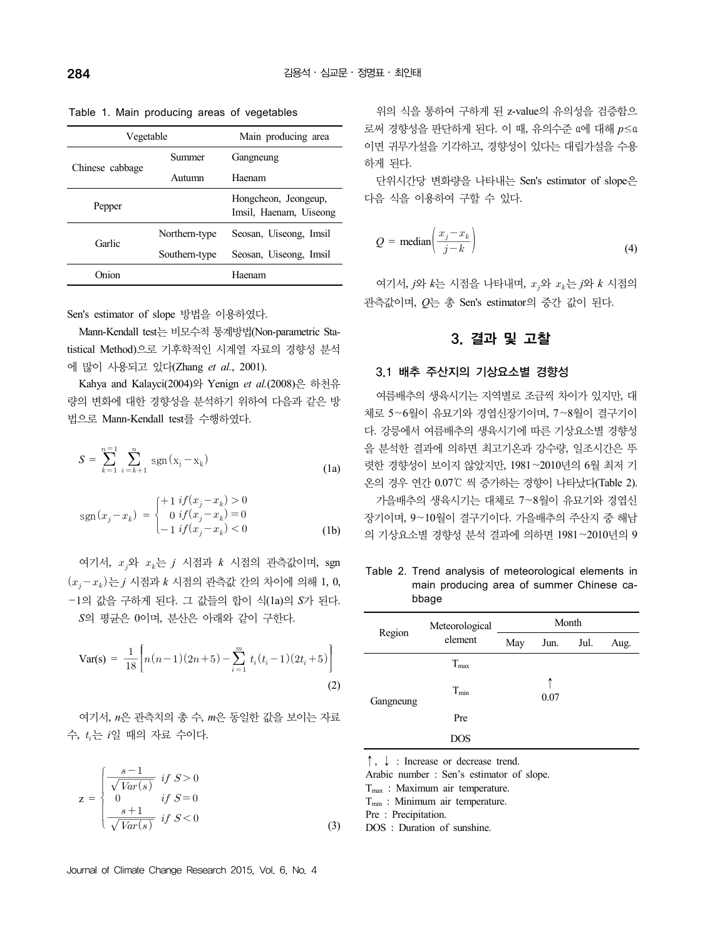| Vegetable       |               | Main producing area                            |
|-----------------|---------------|------------------------------------------------|
|                 | Summer        | Gangneung                                      |
| Chinese cabbage | Autumn        | Haenam                                         |
| Pepper          |               | Hongcheon, Jeongeup,<br>Imsil, Haenam, Uiseong |
| Garlic          | Northern-type | Seosan, Uiseong, Imsil                         |
|                 | Southern-type | Seosan, Uiseong, Imsil                         |
| Onion           |               | Haenam                                         |

Table 1. Main producing areas of vegetables

Sen's estimator of slope 방법을 이용하였다.

Mann-Kendall test는 비모수적 통계방법(Non-parametric Statistical Method)으로 기후학적인 시계열 자료의 경향성 분석 에 많이 사용되고 있다(Zhang *et al.*, 2001).

Kahya and Kalayci(2004)와 Yenign *et al.*(2008)은 하천유 량의 변화에 대한 경향성을 분석하기 위하여 다음과 같은 방 법으로 Mann-Kendall test를 수행하였다.

$$
S = \sum_{k=1}^{n=1} \sum_{i=k+1}^{n} \text{sgn}(\mathbf{x}_i - \mathbf{x}_k)
$$
 (1a)

$$
sgn(x_j - x_k) = \begin{cases} +1 & if(x_j - x_k) > 0\\ 0 & if(x_j - x_k) = 0\\ -1 & if(x_j - x_k) < 0 \end{cases}
$$
 (1b)

여기서, 와 는 *j* 시점과 *k* 시점의 관측값이며, sgn  $(x_i - x_k)$ 는 *j* 시점과  $k$  시점의 관측값 간의 차이에 의해 1, 0, —1의 값을 구하게 된다. 그 값들의 합이 식(1a)의 *S*가 된다. *S*의 평균은 0이며, 분산은 아래와 같이 구한다.

$$
\text{Var(s)} = \frac{1}{18} \bigg[ n(n-1)(2n+5) - \sum_{i=1}^{m} t_i (t_i - 1)(2t_i + 5) \bigg] \tag{2}
$$

여기서, *n*은 관측치의 총 수, *m*은 동일한 값을 보이는 자료 수, 는 *i*일 때의 자료 수이다.

여기서, *n*은 관축치의 총 수, *m*은 동일한 갔을 보이는 자료  
\n, 
$$
t_i \div i\mathbf{2}
$$
 때의 자료 수이다.  
\n
$$
\mathbf{z} = \begin{cases} \frac{s-1}{\sqrt{Var(s)}} & \text{if } S > 0 \\ 0 & \text{if } S = 0 \\ \frac{s+1}{\sqrt{Var(s)}} & \text{if } S < 0 \end{cases}
$$
\n(3)

로써 경향성을 판단하게 된다. 이 때, 유의수준 α에 대해 *p*≤α 이면 귀무가설을 기각하고, 경향성이 있다는 대립가설을 수용 하게 된다.

단위시간당 변화량을 나타내는 Sen's estimator of slope은 다음 식을 이용하여 구할 수 있다.

위의 식을 통하여 구하게 된 z-value의 유의성을 검증함으

음 식을 이~~방~~하여 구할 수 있다.  

$$
Q = \text{median}\left(\frac{x_j - x_k}{j - k}\right)
$$
(4)

여기서, *j*와 *k*는 시점을 나타내며, 와 는 *j*와 *k* 시점의 관측값이며, *Q*는 총 Sen's estimator의 중간 값이 된다.

## 3. 결과 및 고찰

#### 3.1 배추 주산지의 기상요소별 경향성

여름배추의 생육시기는 지역별로 조금씩 차이가 있지만, 대 체로 5∼6월이 유묘기와 경엽신장기이며, 7∼8월이 결구기이 다. 강릉에서 여름배추의 생육시기에 따른 기상요소별 경향성 을 분석한 결과에 의하면 최고기온과 강수량, 일조시간은 뚜 렷한 경향성이 보이지 않았지만, 1981∼2010년의 6월 최저 기 온의 경우 연간 0.07℃ 씩 증가하는 경향이 나타났다(Table 2). 가을배추의 생육시기는 대체로 7∼8월이 유묘기와 경엽신 장기이며, 9∼10월이 결구기이다. 가을배추의 주산지 중 해남 의 기상요소별 경향성 분석 결과에 의하면 1981∼2010년의 9

Table 2. Trend analysis of meteorological elements in main producing area of summer Chinese cabbage

|           | Meteorological | Month |           |      |      |  |  |  |
|-----------|----------------|-------|-----------|------|------|--|--|--|
| Region    | element        | May   | Jun.      | Jul. | Aug. |  |  |  |
|           | $T_{max}$      |       |           |      |      |  |  |  |
| Gangneung | $T_{min}$      |       | ↑<br>0.07 |      |      |  |  |  |
|           | Pre            |       |           |      |      |  |  |  |
|           | <b>DOS</b>     |       |           |      |      |  |  |  |

↑, ↓ : Increase or decrease trend.

Arabic number : Sen's estimator of slope.

 $T<sub>max</sub>$ : Maximum air temperature.

T<sub>min</sub> : Minimum air temperature.

Pre : Precipitation.

DOS : Duration of sunshine.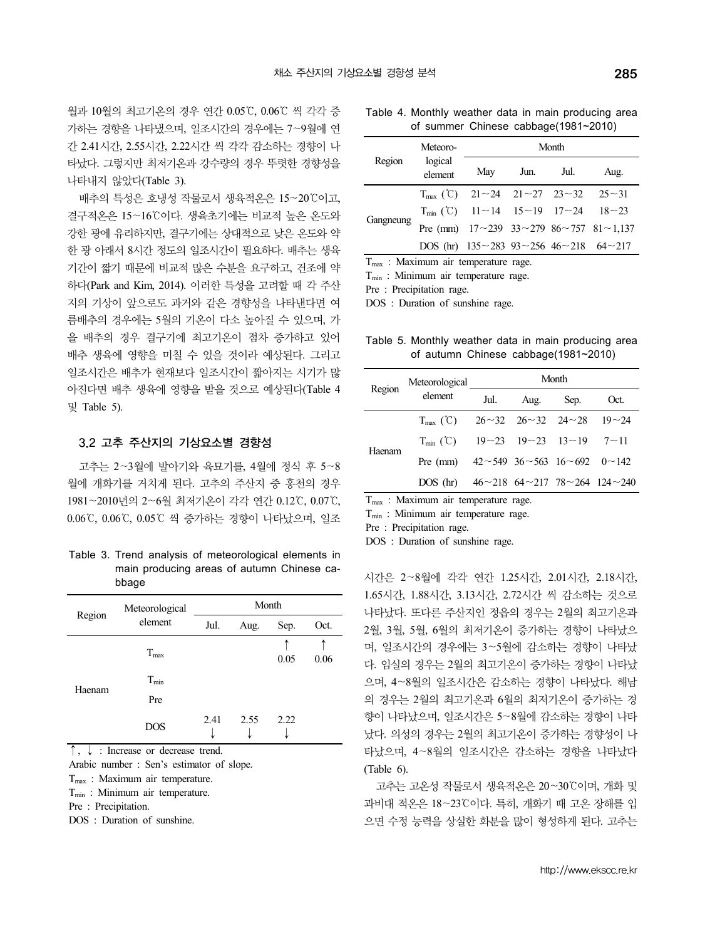월과 10월의 최고기온의 경우 연간 0.05℃, 0.06℃ 씩 각각 증 가하는 경향을 나타냈으며, 일조시간의 경우에는 7∼9월에 연 간 2.41시간, 2.55시간, 2.22시간 씩 각각 감소하는 경향이 나 타났다. 그렇지만 최저기온과 강수량의 경우 뚜렷한 경향성을 나타내지 않았다(Table 3).

배추의 특성은 호냉성 작물로서 생육적온은 15∼20℃이고, 결구적온은 15∼16℃이다. 생육초기에는 비교적 높은 온도와 강한 광에 유리하지만, 결구기에는 상대적으로 낮은 온도와 약 한 광 아래서 8시간 정도의 일조시간이 필요하다. 배추는 생육 기간이 짧기 때문에 비교적 많은 수분을 요구하고, 건조에 약 하다(Park and Kim, 2014). 이러한 특성을 고려할 때 각 주산 지의 기상이 앞으로도 과거와 같은 경향성을 나타낸다면 여 름배추의 경우에는 5월의 기온이 다소 높아질 수 있으며, 가 을 배추의 경우 결구기에 최고기온이 점차 증가하고 있어 배추 생육에 영향을 미칠 수 있을 것이라 예상된다. 그리고 일조시간은 배추가 현재보다 일조시간이 짧아지는 시기가 많 아진다면 배추 생육에 영향을 받을 것으로 예상된다(Table 4 및 Table 5).

### 3.2 고추 주산지의 기상요소별 경향성

고추는 2∼3월에 발아기와 육묘기를, 4월에 정식 후 5∼8 월에 개화기를 거치게 된다. 고추의 주산지 중 홍천의 경우 <sup>1981</sup>∼2010년의 2∼6월 최저기온이 각각 연간 0.12℃, 0.07℃, 0.06℃, 0.06℃, 0.05℃ 씩 증가하는 경향이 나타났으며, 일조

Table 3. Trend analysis of meteorological elements in main producing areas of autumn Chinese cabbage

|        | Meteorological |      |      | Month |      |
|--------|----------------|------|------|-------|------|
| Region | element        | Jul. | Aug. | Sep.  | Oct. |
|        | $T_{max}$      |      |      | 0.05  | 0.06 |
|        | $T_{min}$      |      |      |       |      |
| Haenam | Pre            |      |      |       |      |
|        | <b>DOS</b>     | 2.41 | 2.55 | 2.22  |      |
|        |                |      |      |       |      |

↑, ↓ : Increase or decrease trend.

Arabic number : Sen's estimator of slope.

 $T<sub>max</sub>$ : Maximum air temperature.

 $T_{\text{min}}$ : Minimum air temperature.

Pre : Precipitation.

DOS : Duration of sunshine.

Table 4. Monthly weather data in main producing area of summer Chinese cabbage(1981~2010)

|           | Meteoro-           |                                                                           |           | Month |                                                                    |
|-----------|--------------------|---------------------------------------------------------------------------|-----------|-------|--------------------------------------------------------------------|
| Region    | logical<br>element | May                                                                       | Jun. Jul. |       | Aug.                                                               |
|           |                    | $T_{\text{max}}$ (°C) 21~24 21~27 23~32 25~31                             |           |       |                                                                    |
|           |                    | $T_{\text{min}}$ (°C) $11 \sim 14$ $15 \sim 19$ $17 \sim 24$ $18 \sim 23$ |           |       |                                                                    |
|           |                    |                                                                           |           |       | Pre (mm) $17 \sim 239$ $33 \sim 279$ $86 \sim 757$ $81 \sim 1,137$ |
| Gangneung |                    | DOS (hr) $135 \sim 283$ 93 $\sim 256$ 46 $\sim 218$ 64 $\sim 217$         |           |       |                                                                    |

T<sub>max</sub> : Maximum air temperature rage.

 $T_{min}$ : Minimum air temperature rage.

Pre : Precipitation rage.

DOS : Duration of sunshine rage.

Table 5. Monthly weather data in main producing area of autumn Chinese cabbage(1981~2010)

| Region | Meteorological                                                            |      | Month          |  |
|--------|---------------------------------------------------------------------------|------|----------------|--|
|        | element                                                                   | Jul. | Aug. Sep. Oct. |  |
|        | $T_{\text{max}}$ (°C) $26 \sim 32$ $26 \sim 32$ $24 \sim 28$ 19 $\sim 24$ |      |                |  |
|        | $T_{min}$ (°C) $19~23$ $19~23$ $13~19$ $7~11$                             |      |                |  |
| Haenam | Pre (mm) $42 \sim 549$ $36 \sim 563$ $16 \sim 692$ $0 \sim 142$           |      |                |  |
|        | DOS (hr) $46 \sim 218$ $64 \sim 217$ $78 \sim 264$ $124 \sim 240$         |      |                |  |

 $T<sub>max</sub>$ : Maximum air temperature rage.

 $T_{\text{min}}$  : Minimum air temperature rage.

Pre : Precipitation rage.

DOS : Duration of sunshine rage.

↑ 며, 일조시간의 경우에는 3∼5월에 감소하는 경향이 나타났 0.06 다. 임실의 경우는 2월의 최고기온이 증가하는 경향이 나타났 시간은 2∼8월에 각각 연간 1.25시간, 2.01시간, 2.18시간,<br>1.65시간, 1.88시간, 3.13시간, 2.72시간 씩 감소하는 것으로 나타났다. 또다른 주산지인 정읍의 경우는 2월의 최고기온과 2월, 3월, 5월, 6월의 최저기온이 증가하는 경향이 나타났으 으며, 4∼8월의 일조시간은 감소하는 경향이 나타났다. 해남 의 경우는 2월의 최고기온과 6월의 최저기온이 증가하는 경 향이 나타났으며, 일조시간은 5∼8월에 감소하는 경향이 나타 났다. 의성의 경우는 2월의 최고기온이 증가하는 경향성이 나 타났으며, 4∼8월의 일조시간은 감소하는 경향을 나타났다 (Table 6).

> 고추는 고온성 작물로서 생육적온은 20∼30℃이며, 개화 및 과비대 적온은 18∼23℃이다. 특히, 개화기 때 고온 장해를 입 으면 수정 능력을 상실한 화분을 많이 형성하게 된다. 고추는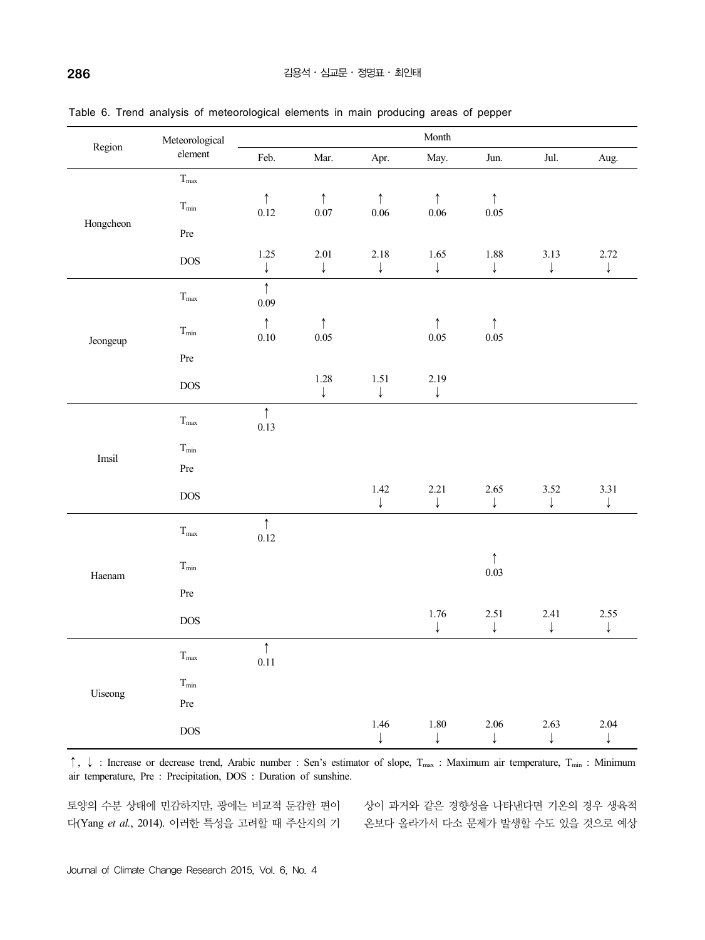| Region    | Meteorological               |                          |                        |                      | Month                  |                        |                      |                      |
|-----------|------------------------------|--------------------------|------------------------|----------------------|------------------------|------------------------|----------------------|----------------------|
|           | element                      | Feb.                     | Mar.                   | Apr.                 | May.                   | Jun.                   | Jul.                 | Aug.                 |
|           | $T_{\rm max}$                |                          |                        |                      |                        |                        |                      |                      |
|           | $T_{\rm min}$                | $\uparrow$<br>0.12       | $\uparrow$<br>$0.07\,$ | $\uparrow$<br>0.06   | $\uparrow$<br>$0.06\,$ | $\uparrow$<br>$0.05\,$ |                      |                      |
| Hongcheon | $\Pr$                        |                          |                        |                      |                        |                        |                      |                      |
|           | $DOS$                        | $1.25\,$<br>$\downarrow$ | 2.01<br>$\downarrow$   | 2.18<br>$\downarrow$ | 1.65<br>$\downarrow$   | 1.88<br>$\downarrow$   | 3.13<br>$\downarrow$ | 2.72<br>$\downarrow$ |
|           | $T_{\hbox{\scriptsize max}}$ | $\uparrow$<br>0.09       |                        |                      |                        |                        |                      |                      |
| Jeongeup  | $T_{\rm min}$                | $\uparrow$<br>0.10       | $\uparrow$<br>0.05     |                      | $\uparrow$<br>0.05     | $\uparrow$<br>0.05     |                      |                      |
|           | Pre                          |                          |                        |                      |                        |                        |                      |                      |
|           | $DOS$                        |                          | 1.28<br>$\downarrow$   | 1.51<br>$\downarrow$ | 2.19<br>$\downarrow$   |                        |                      |                      |
|           | $T_{\rm max}$                | $\uparrow$<br>0.13       |                        |                      |                        |                        |                      |                      |
|           | $T_{\rm min}$                |                          |                        |                      |                        |                        |                      |                      |
| Imsil     | Pre                          |                          |                        |                      |                        |                        |                      |                      |
|           | <b>DOS</b>                   |                          |                        | 1.42<br>$\downarrow$ | 2.21<br>$\downarrow$   | 2.65<br>$\downarrow$   | 3.52<br>$\downarrow$ | 3.31<br>$\downarrow$ |
|           | $T_{\text{max}}$             | $\uparrow$<br>0.12       |                        |                      |                        |                        |                      |                      |
| Haenam    | $T_{\rm min}$                |                          |                        |                      |                        | $\uparrow$<br>0.03     |                      |                      |
|           | $\Pr$                        |                          |                        |                      |                        |                        |                      |                      |
|           | $DOS$                        |                          |                        |                      | 1.76<br>$\downarrow$   | 2.51<br>$\downarrow$   | 2.41<br>$\downarrow$ | 2.55<br>$\downarrow$ |
|           | $T_{\hbox{\scriptsize max}}$ | $\uparrow$<br>0.11       |                        |                      |                        |                        |                      |                      |
| Uiseong   | $T_{\rm min}$                |                          |                        |                      |                        |                        |                      |                      |
|           | Pre                          |                          |                        |                      |                        |                        |                      |                      |
|           | DOS                          |                          |                        | 1.46<br>$\downarrow$ | 1.80                   | 2.06                   | 2.63<br>↓            | 2.04<br>$\downarrow$ |

Table 6. Trend analysis of meteorological elements in main producing areas of pepper

↑, ↓ : Increase or decrease trend, Arabic number : Sen's estimator of slope, Tmax : Maximum air temperature, Tmin : Minimum air temperature, Pre : Precipitation, DOS : Duration of sunshine.

토양의 수분 상태에 민감하지만, 광에는 비교적 둔감한 편이 상이 과거와 같은 경향성을 나타낸다면 기온의 경우 생육적 다(Yang *et al.*, 2014). 이러한 특성을 고려할 때 주산지의 기 온보다 올라가서 다소 문제가 발생할 수도 있을 것으로 예상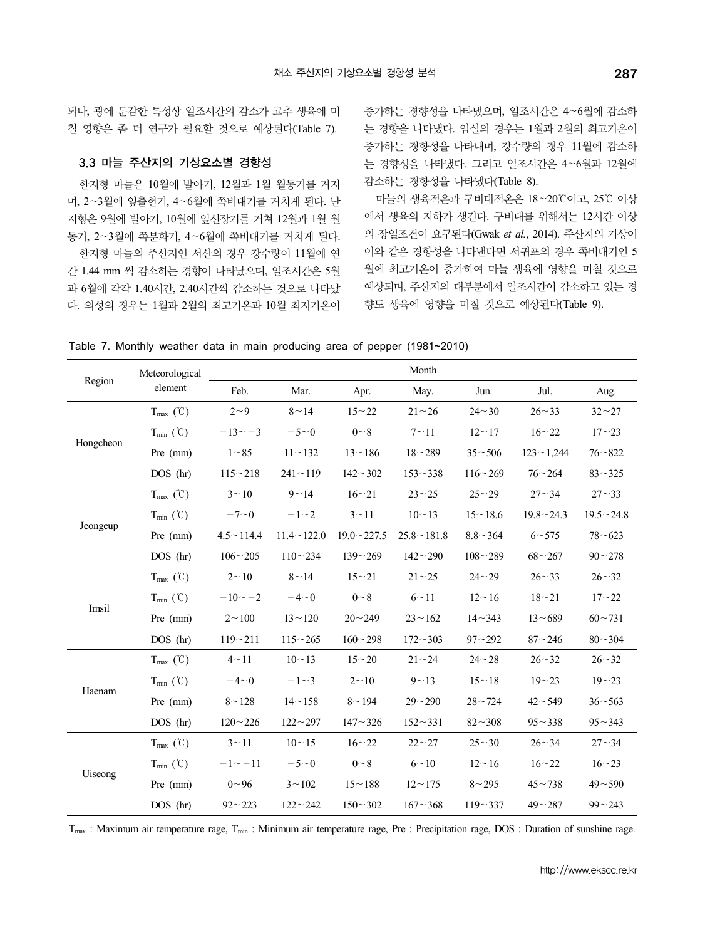되나, 광에 둔감한 특성상 일조시간의 감소가 고추 생육에 미 칠 영향은 좀 더 연구가 필요할 것으로 예상된다(Table 7).

#### 3.3 마늘 주산지의 기상요소별 경향성

한지형 마늘은 10월에 발아기, 12월과 1월 월동기를 거지 며, 2∼3월에 잎출현기, 4∼6월에 쪽비대기를 거치게 된다. 난 지형은 9월에 발아기, 10월에 잎신장기를 거쳐 12월과 1월 월 동기, 2∼3월에 쪽분화기, 4∼6월에 쪽비대기를 거치게 된다. 한지형 마늘의 주산지인 서산의 경우 강수량이 11월에 연 간 1.44 mm 씩 감소하는 경향이 나타났으며, 일조시간은 5월 과 6월에 각각 1.40시간, 2.40시간씩 감소하는 것으로 나타났 다. 의성의 경우는 1월과 2월의 최고기온과 10월 최저기온이 증가하는 경향성을 나타냈으며, 일조시간은 4∼6월에 감소하 는 경향을 나타냈다. 임실의 경우는 1월과 2월의 최고기온이 증가하는 경향성을 나타내며, 강수량의 경우 11월에 감소하 는 경향성을 나타냈다. 그리고 일조시간은 4∼6월과 12월에 감소하는 경향성을 나타냈다(Table 8).

마늘의 생육적온과 구비대적온은 18∼20℃이고, 25℃ 이상 에서 생육의 저하가 생긴다. 구비대를 위해서는 12시간 이상 의 장일조건이 요구된다(Gwak *et al.*, 2014). 주산지의 기상이 이와 같은 경향성을 나타낸다면 서귀포의 경우 쪽비대기인 5 월에 최고기온이 증가하여 마늘 생육에 영향을 미칠 것으로 예상되며, 주산지의 대부분에서 일조시간이 감소하고 있는 경 향도 생육에 영향을 미칠 것으로 예상된다(Table 9).

| Table 7. Monthly weather data in main producing area of pepper (1981~2010) |  |  |  |  |  |  |  |
|----------------------------------------------------------------------------|--|--|--|--|--|--|--|
|----------------------------------------------------------------------------|--|--|--|--|--|--|--|

|           | Meteorological                |                                  |                                  |                   | Month             |                |                  |                  |
|-----------|-------------------------------|----------------------------------|----------------------------------|-------------------|-------------------|----------------|------------------|------------------|
| Region    | element                       | Feb.                             | Mar.                             | Apr.              | May.              | Jun.           | Jul.             | Aug.             |
|           | $T_{\text{max}}(\mathcal{C})$ | $2\sim9$                         | 8~14                             | $15 - 22$         | $21 - 26$         | $24 - 30$      | $26 - 33$        | $32 - 27$        |
|           | $T_{min}$ (°C)                | $-13 \sim -3$                    | $-5\sim0$                        | $0 \sim 8$        | $7 - 11$          | $12 \sim 17$   | $16 - 22$        | $17 - 23$        |
| Hongcheon | Pre (mm)                      | $1 - 85$                         | $11 - 132$                       | $13 - 186$        | $18 - 289$        | $35 - 506$     | $123 - 1,244$    | $76 - 822$       |
|           | DOS (hr)                      | $115 - 218$                      | $241 - 119$                      | $142 - 302$       | $153 - 338$       | $116 - 269$    | $76 - 264$       | $83 - 325$       |
|           | $T_{\text{max}}(\mathcal{C})$ | $3^{\sim}10$                     | $9 - 14$                         | $16 \sim 21$      | $23 - 25$         | $25 - 29$      | $27 - 34$        | $27 - 33$        |
|           | $T_{min}$ (°C)                | $-7 - 0$                         | $-1 - 2$                         | $3 - 11$          | $10 - 13$         | $15 - 18.6$    | $19.8 \sim 24.3$ | $19.5 \sim 24.8$ |
| Jeongeup  | Pre (mm)                      | $4.5 \sim 114.4$                 | $11.4 \sim 122.0$                | $19.0 \sim 227.5$ | $25.8 \sim 181.8$ | $8.8 \sim 364$ | $6 \sim 575$     | $78 - 623$       |
|           | $DOS$ (hr)                    | $106 - 205$                      | $110 - 234$                      | $139 - 269$       | $142 - 290$       | $108 - 289$    | $68 - 267$       | $90 - 278$       |
|           | $T_{\text{max}}(\mathcal{C})$ | $2 - 10$                         | $8 \sim 14$                      | $15 - 21$         | $21 - 25$         | $24 - 29$      | $26 - 33$        | $26 - 32$        |
|           | $T_{min}$ (°C)                | $-10 \sim -2$                    | $-4\negmedspace\sim\negmedspace$ | $0 \sim 8$        | $6 - 11$          | $12 - 16$      | $18 - 21$        | $17 - 22$        |
| Imsil     | Pre (mm)                      | $2 - 100$                        | $13 - 120$                       | $20 - 249$        | $23 - 162$        | $14 - 343$     | $13 - 689$       | $60 - 731$       |
|           | DOS (hr)                      | $119 - 211$                      | $115 - 265$                      | $160 - 298$       | $172 - 303$       | $97 - 292$     | $87 - 246$       | $80\!\sim\!304$  |
|           | $T_{\text{max}}(\mathcal{C})$ | $4 - 11$                         | $10 - 13$                        | $15 - 20$         | $21 - 24$         | $24 - 28$      | $26 - 32$        | $26 - 32$        |
|           | $T_{min}$ (°C)                | $-4\negmedspace\sim\negmedspace$ | $-1 \\ -3$                       | $2 - 10$          | $9 - 13$          | $15 - 18$      | $19 - 23$        | $19 - 23$        |
| Haenam    | Pre (mm)                      | $8 - 128$                        | $14 - 158$                       | $8 - 194$         | $29 - 290$        | $28 - 724$     | $42 - 549$       | $36 - 563$       |
|           | DOS (hr)                      | $120 - 226$                      | $122 - 297$                      | $147 - 326$       | $152 - 331$       | $82 - 308$     | $95 - 338$       | $95 - 343$       |
|           | $T_{\text{max}}(\mathcal{C})$ | $3 - 11$                         | $10 \sim 15$                     | $16 - 22$         | $22 - 27$         | $25 - 30$      | $26 \sim 34$     | $27 - 34$        |
|           | $T_{min}$ (°C)                | $-1 - -11$                       | $-5\sim0$                        | $0 - 8$           | $6 \sim 10$       | $12 \sim 16$   | $16 - 22$        | $16 - 23$        |
| Uiseong   | Pre (mm)                      | $0 - 96$                         | $3 - 102$                        | $15 - 188$        | $12 \sim 175$     | $8 - 295$      | $45 \sim 738$    | $49 - 590$       |
|           | DOS (hr)                      | $92 - 223$                       | $122 - 242$                      | $150 - 302$       | $167 - 368$       | $119 - 337$    | $49 - 287$       | $99 - 243$       |

T<sub>max</sub> : Maximum air temperature rage, T<sub>min</sub> : Minimum air temperature rage, Pre : Precipitation rage, DOS : Duration of sunshine rage.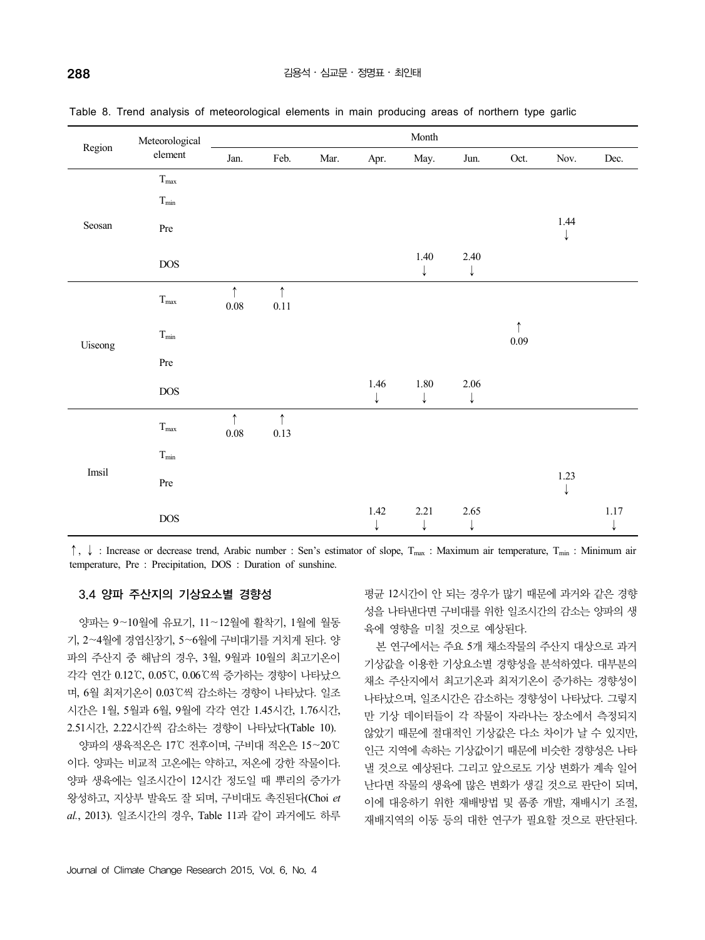| Region  | Meteorological               |                        |                        |      |                          | Month                |           |                        |           |               |
|---------|------------------------------|------------------------|------------------------|------|--------------------------|----------------------|-----------|------------------------|-----------|---------------|
|         | element                      | Jan.                   | Feb.                   | Mar. | Apr.                     | May.                 | Jun.      | Oct.                   | Nov.      | Dec.          |
|         | $T_{\hbox{\scriptsize max}}$ |                        |                        |      |                          |                      |           |                        |           |               |
|         | $T_{\rm min}$                |                        |                        |      |                          |                      |           |                        |           |               |
| Seosan  | Pre                          |                        |                        |      |                          |                      |           |                        | 1.44<br>↓ |               |
|         | $_{\rm DOS}$                 |                        |                        |      |                          | 1.40<br>↓            | 2.40<br>↓ |                        |           |               |
|         | $T_{\rm max}$                | $\uparrow$<br>$0.08\,$ | $\uparrow$<br>$0.11\,$ |      |                          |                      |           |                        |           |               |
| Uiseong | $T_{\rm min}$                |                        |                        |      |                          |                      |           | $\uparrow$<br>$0.09\,$ |           |               |
|         | Pre                          |                        |                        |      |                          |                      |           |                        |           |               |
|         | $\rm DOS$                    |                        |                        |      | 1.46<br>↓                | $1.80\,$<br>↓        | 2.06<br>↓ |                        |           |               |
|         | $T_{\hbox{\scriptsize max}}$ | $\uparrow$<br>$0.08\,$ | $\uparrow$<br>0.13     |      |                          |                      |           |                        |           |               |
| Imsil   | $T_{\rm min}$                |                        |                        |      |                          |                      |           |                        |           |               |
|         | Pre                          |                        |                        |      |                          |                      |           |                        | 1.23<br>↓ |               |
|         | $\operatorname{DOS}$         |                        |                        |      | $1.42\,$<br>$\downarrow$ | 2.21<br>$\downarrow$ | 2.65<br>↓ |                        |           | $1.17\,$<br>↓ |

Table 8. Trend analysis of meteorological elements in main producing areas of northern type garlic

↑, ↓ : Increase or decrease trend, Arabic number : Sen's estimator of slope, T<sub>max</sub> : Maximum air temperature, T<sub>min</sub> : Minimum air temperature, Pre : Precipitation, DOS : Duration of sunshine.

### 3.4 양파 주산지의 기상요소별 경향성

양파는 9∼10월에 유묘기, 11∼12월에 활착기, 1월에 월동 기, 2∼4월에 경엽신장기, 5∼6월에 구비대기를 거치게 된다. 양 파의 주산지 중 해남의 경우, 3월, 9월과 10월의 최고기온이 각각 연간 0.12℃, 0.05℃, 0.06℃씩 증가하는 경향이 나타났으 며, 6월 최저기온이 0.03℃씩 감소하는 경향이 나타났다. 일조 시간은 1월, 5월과 6월, 9월에 각각 연간 1.45시간, 1.76시간,<br>2.51시간, 2.22시간씩 감소하는 경향이 나타났다(Table 10).

양파의 생육적온은 17℃ 전후이며, 구비대 적온은 15∼20℃ 이다. 양파는 비교적 고온에는 약하고, 저온에 강한 작물이다. 양파 생육에는 일조시간이 12시간 정도일 때 뿌리의 증가가 왕성하고, 지상부 발육도 잘 되며, 구비대도 촉진된다(Choi *et al.*, 2013). 일조시간의 경우, Table 11과 같이 과거에도 하루 평균 12시간이 안 되는 경우가 많기 때문에 과거와 같은 경향 성을 나타낸다면 구비대를 위한 일조시간의 감소는 양파의 생 육에 영향을 미칠 것으로 예상된다.

본 연구에서는 주요 5개 채소작물의 주산지 대상으로 과거 기상값을 이용한 기상요소별 경향성을 분석하였다. 대부분의 채소 주산지에서 최고기온과 최저기온이 증가하는 경향성이 나타났으며, 일조시간은 감소하는 경향성이 나타났다. 그렇지 만 기상 데이터들이 각 작물이 자라나는 장소에서 측정되지 않았기 때문에 절대적인 기상값은 다소 차이가 날 수 있지만, 인근 지역에 속하는 기상값이기 때문에 비슷한 경향성은 나타 낼 것으로 예상된다. 그리고 앞으로도 기상 변화가 계속 일어 난다면 작물의 생육에 많은 변화가 생길 것으로 판단이 되며, 이에 대응하기 위한 재배방법 및 품종 개발, 재배시기 조절, 재배지역의 이동 등의 대한 연구가 필요할 것으로 판단된다.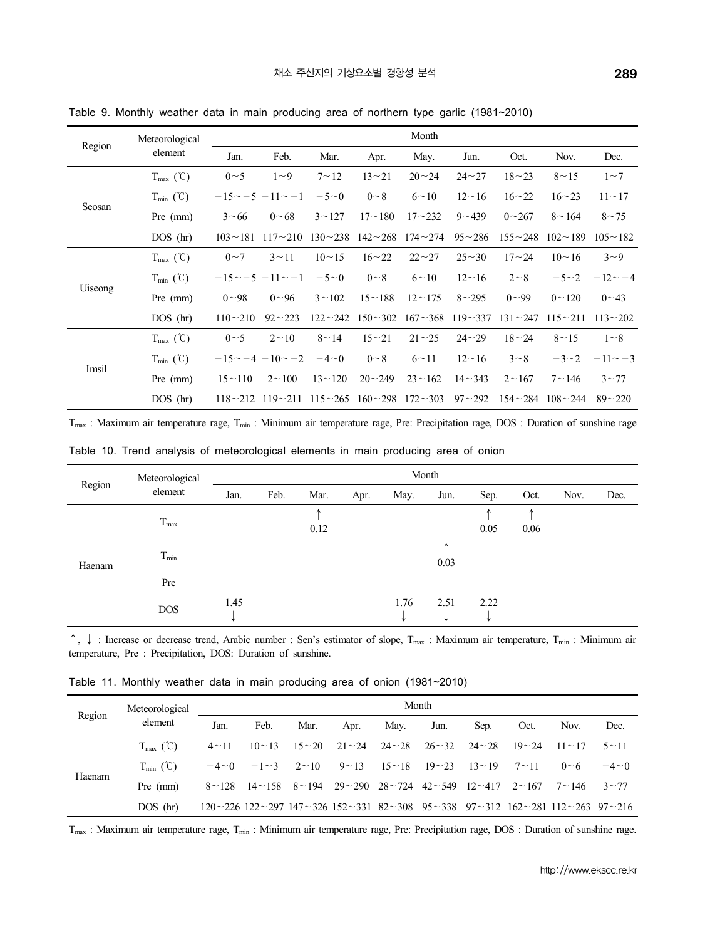|         | Meteorological                |               |                             |                                                  |                         | Month         |               |               |              |                |
|---------|-------------------------------|---------------|-----------------------------|--------------------------------------------------|-------------------------|---------------|---------------|---------------|--------------|----------------|
| Region  | element                       | Jan.          | Feb.                        | Mar.                                             | Apr.                    | May.          | Jun.          | Oct.          | Nov.         | Dec.           |
|         | $T_{\text{max}}(\mathcal{C})$ | 0~5           | $1\sim9$                    | $7 - 12$                                         | $13 - 21$               | $20 - 24$     | $24 - 27$     | $18 - 23$     | $8 \sim 15$  | $1\sim$ 7      |
|         | $T_{\min}$ (°C)               |               | $-15 \sim -5$ $-11 \sim -1$ | $-5\sim0$                                        | $0 \sim 8$              | $6 \sim 10$   | $12 \sim 16$  | $16^{\sim}22$ | $16 - 23$    | $11 - 17$      |
| Seosan  | Pre (mm)                      | $3 \sim 66$   | $0 - 68$                    | $3 \sim 127$                                     | $17 - 180$              | $17 - 232$    | $9 - 439$     | $0 - 267$     | $8 \sim 164$ | $8 - 75$       |
|         | $DOS$ (hr)                    | $103 - 181$   | $117 - 210$                 |                                                  | $130 - 238$ $142 - 268$ | $174 - 274$   | $95 - 286$    | $155 - 248$   | $102 - 189$  | $105 \sim 182$ |
|         | $T_{\text{max}}(\mathcal{C})$ | $0\sim$ 7     | $3 \sim 11$                 | $10 \sim 15$                                     | $16 - 22$               | $22 - 27$     | $25 - 30$     | $17 - 24$     | $10 - 16$    | $3\sim9$       |
|         | $T_{min}$ (°C)                |               | $-15 \sim -5$ $-11 \sim -1$ | $-5\sim0$                                        | $0 \sim 8$              | $6 \sim 10$   | $12 \sim 16$  | $2 - 8$       | $-5 - 2$     | $-12 - -4$     |
| Uiseong | Pre (mm)                      | $0 - 98$      | $0^{\sim}96$                | $3 \sim 102$                                     | $15 \sim 188$           | $12 \sim 175$ | $8 - 295$     | $0 - 99$      | $0 \sim 120$ | $0^{\sim}43$   |
|         | $DOS$ (hr)                    | $110 - 210$   | $92 - 223$                  | $122 - 242$                                      | $150 - 302$             | $167 - 368$   | $119 - 337$   | $131 - 247$   | $115 - 211$  | $113 - 202$    |
|         | $T_{\text{max}}(\mathcal{C})$ | $0 \sim 5$    | $2 \sim 10$                 | $8 \sim 14$                                      | $15 - 21$               | $21 - 25$     | $24 - 29$     | $18 - 24$     | $8 \sim 15$  | $1 \sim 8$     |
|         | $T_{\min}$ (°C)               |               | $-15 \sim -4$ $-10 \sim -2$ | $-4\negthinspace\negthinspace\sim\negthinspace0$ | $0 \sim 8$              | $6 \sim 11$   | $12 - 16$     | $3 \sim 8$    | $-3 \\ -2$   | $-11 \sim -3$  |
| Imsil   | Pre (mm)                      | $15 \sim 110$ | $2 \sim 100$                | $13 \sim 120$                                    | $20 - 249$              | $23 \sim 162$ | $14 \sim 343$ | $2 \sim 167$  | $7 - 146$    | $3 \sim 77$    |
|         | $DOS$ (hr)                    | $118 - 212$   | $119 - 211$                 | $115 - 265$                                      | $160 - 298$             | $172 - 303$   | $97 - 292$    | $154 - 284$   | $108 - 244$  | $89 - 220$     |

Table 9. Monthly weather data in main producing area of northern type garlic (1981~2010)

T<sub>max</sub> : Maximum air temperature rage, T<sub>min</sub> : Minimum air temperature rage, Pre: Precipitation rage, DOS : Duration of sunshine rage

Table 10. Trend analysis of meteorological elements in main producing area of onion

|        | Meteorological               |      |      |      |      | Month |      |      |      |      |      |
|--------|------------------------------|------|------|------|------|-------|------|------|------|------|------|
| Region | element                      | Jan. | Feb. | Mar. | Apr. | May.  | Jun. | Sep. | Oct. | Nov. | Dec. |
|        |                              |      |      |      |      |       |      |      |      |      |      |
|        | $T_{\hbox{\scriptsize max}}$ |      |      | 0.12 |      |       |      | 0.05 | 0.06 |      |      |
| Haenam | $T_{\rm min}$                |      |      |      |      |       | 0.03 |      |      |      |      |
|        | Pre                          |      |      |      |      |       |      |      |      |      |      |
|        | <b>DOS</b>                   | 1.45 |      |      |      | 1.76  | 2.51 | 2.22 |      |      |      |

↑, ↓ : Increase or decrease trend, Arabic number : Sen's estimator of slope, T<sub>max</sub> : Maximum air temperature, T<sub>min</sub> : Minimum air temperature, Pre : Precipitation, DOS: Duration of sunshine.

Table 11. Monthly weather data in main producing area of onion (1981~2010)

| Region | Meteorological                |              | Month                      |             |                           |              |                             |              |              |                                                                                                                                                   |             |  |  |
|--------|-------------------------------|--------------|----------------------------|-------------|---------------------------|--------------|-----------------------------|--------------|--------------|---------------------------------------------------------------------------------------------------------------------------------------------------|-------------|--|--|
|        | element                       | Jan.         | Feb.                       | Mar.        | Apr.                      | May.         | Jun.                        | Sep.         | Oct.         | Nov.                                                                                                                                              | Dec.        |  |  |
|        | $T_{\text{max}}(\mathcal{C})$ | $4 \sim 11$  | $10 \sim 13$               | $15 - 20$   | $21 \sim 24$ 24 $\sim 28$ |              | $26 \sim 32$                | $24 - 28$    | $19 - 24$    | $11 \sim 17$                                                                                                                                      | $5 \sim 11$ |  |  |
|        | $T_{\min}$ (°C)               | $-4\neg 0$   | $-1\sim$ 3                 | $2 \sim 10$ | $9 \sim 13$               | $15 \sim 18$ | $19 - 23$                   | $13 \sim 19$ | $7 - 11$     | 0~6                                                                                                                                               | $-4\neg 0$  |  |  |
| Haenam | Pre (mm)                      | $8 \sim 128$ | $14 \sim 158$ $8 \sim 194$ |             | $29 - 290$ $28 - 724$     |              | $42 \sim 549$ $12 \sim 417$ |              | $2 \sim 167$ | $7 \sim 146$                                                                                                                                      | $3 \sim 77$ |  |  |
|        | $DOS$ (hr)                    |              |                            |             |                           |              |                             |              |              | $120 \sim 226$ $122 \sim 297$ $147 \sim 326$ $152 \sim 331$ $82 \sim 308$ $95 \sim 338$ $97 \sim 312$ $162 \sim 281$ $112 \sim 263$ $97 \sim 216$ |             |  |  |

T<sub>max</sub> : Maximum air temperature rage, T<sub>min</sub> : Minimum air temperature rage, Pre: Precipitation rage, DOS : Duration of sunshine rage.